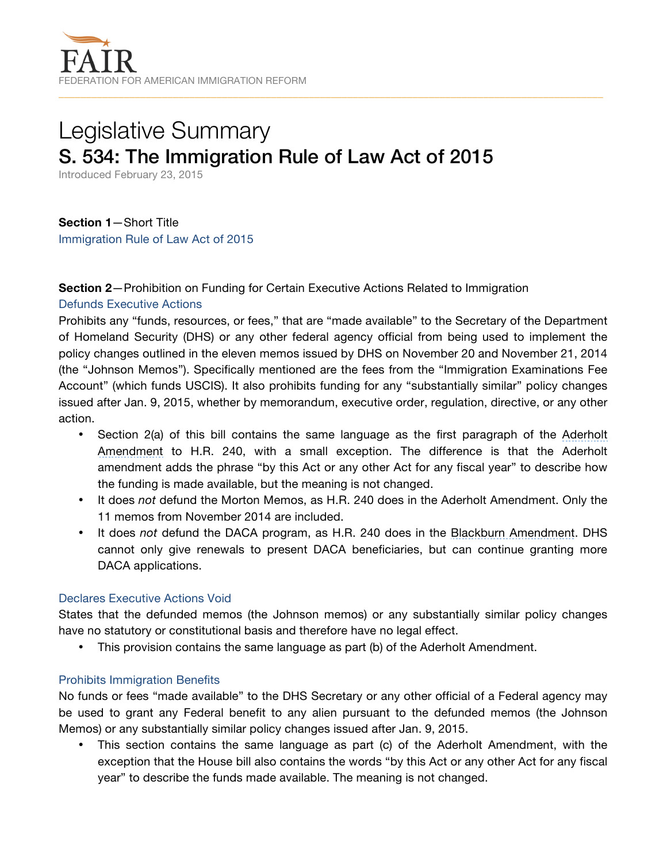# Legislative Summary S. 534: The Immigration Rule of Law Act of 2015

Introduced February 23, 2015

**Section 1**—Short Title Immigration Rule of Law Act of 2015

### **Section 2**—Prohibition on Funding for Certain Executive Actions Related to Immigration

### Defunds Executive Actions

Prohibits any "funds, resources, or fees," that are "made available" to the Secretary of the Department of Homeland Security (DHS) or any other federal agency official from being used to implement the policy changes outlined in the eleven memos issued by DHS on November 20 and November 21, 2014 (the "Johnson Memos"). Specifically mentioned are the fees from the "Immigration Examinations Fee Account" (which funds USCIS). It also prohibits funding for any "substantially similar" policy changes issued after Jan. 9, 2015, whether by memorandum, executive order, regulation, directive, or any other action.

- Section 2(a) of this bill contains the same language as the first paragraph of the [Aderholt](http://amendments-rules.house.gov/amendments/ader211215180937937.pdf)  [Amendment](http://amendments-rules.house.gov/amendments/ader211215180937937.pdf) to H.R. 240, with a small exception. The difference is that the Aderholt amendment adds the phrase "by this Act or any other Act for any fiscal year" to describe how the funding is made available, but the meaning is not changed.
- It does *not* defund the Morton Memos, as H.R. 240 does in the Aderholt Amendment. Only the 11 memos from November 2014 are included.
- It does *not* defund the DACA program, as H.R. 240 does in the [Blackburn Amendment.](http://amendments-rules.house.gov/amendments/SEF_230_xml11215180848848.pdf) DHS cannot only give renewals to present DACA beneficiaries, but can continue granting more DACA applications.

### Declares Executive Actions Void

States that the defunded memos (the Johnson memos) or any substantially similar policy changes have no statutory or constitutional basis and therefore have no legal effect.

• This provision contains the same language as part (b) of the Aderholt Amendment.

### Prohibits Immigration Benefits

No funds or fees "made available" to the DHS Secretary or any other official of a Federal agency may be used to grant any Federal benefit to any alien pursuant to the defunded memos (the Johnson Memos) or any substantially similar policy changes issued after Jan. 9, 2015.

• This section contains the same language as part (c) of the Aderholt Amendment, with the exception that the House bill also contains the words "by this Act or any other Act for any fiscal year" to describe the funds made available. The meaning is not changed.